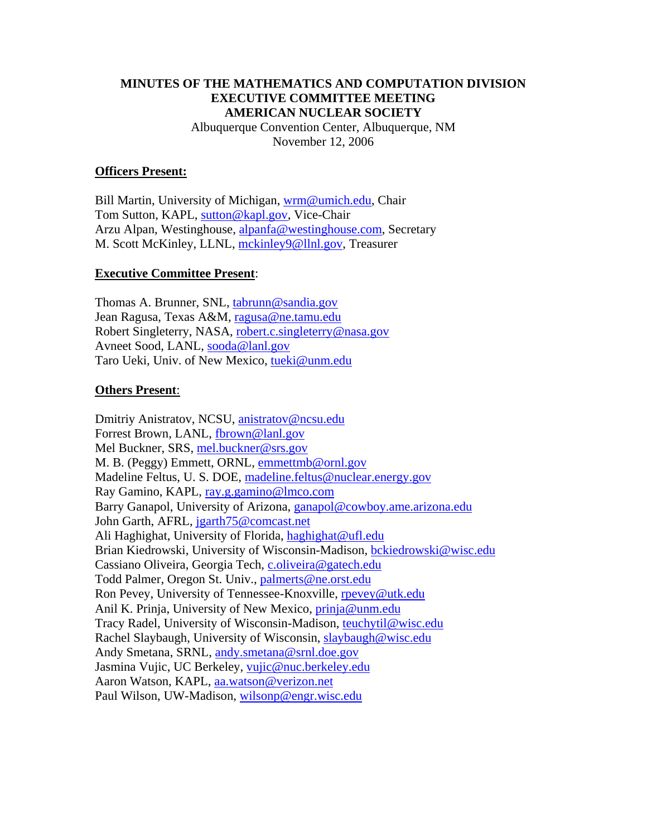### **MINUTES OF THE MATHEMATICS AND COMPUTATION DIVISION EXECUTIVE COMMITTEE MEETING AMERICAN NUCLEAR SOCIETY**  Albuquerque Convention Center, Albuquerque, NM

November 12, 2006

#### **Officers Present:**

Bill Martin, University of Michigan, wrm@umich.edu, Chair Tom Sutton, KAPL, sutton@kapl.gov, Vice-Chair Arzu Alpan, Westinghouse, alpanfa@westinghouse.com, Secretary M. Scott McKinley, LLNL, mckinley9@llnl.gov, Treasurer

#### **Executive Committee Present**:

Thomas A. Brunner, SNL, tabrunn@sandia.gov Jean Ragusa, Texas A&M, ragusa@ne.tamu.edu Robert Singleterry, NASA, robert.c.singleterry@nasa.gov Avneet Sood, LANL, sooda@lanl.gov Taro Ueki, Univ. of New Mexico, tueki@unm.edu

#### **Others Present**:

Dmitriy Anistratov, NCSU, anistratov@ncsu.edu Forrest Brown, LANL, fbrown@lanl.gov Mel Buckner, SRS, mel.buckner@srs.gov M. B. (Peggy) Emmett, ORNL, emmettmb@ornl.gov Madeline Feltus, U. S. DOE, madeline.feltus@nuclear.energy.gov Ray Gamino, KAPL, ray.g.gamino@lmco.com Barry Ganapol, University of Arizona, ganapol@cowboy.ame.arizona.edu John Garth, AFRL, jgarth75@comcast.net Ali Haghighat, University of Florida, haghighat@ufl.edu Brian Kiedrowski, University of Wisconsin-Madison, bckiedrowski@wisc.edu Cassiano Oliveira, Georgia Tech, c.oliveira@gatech.edu Todd Palmer, Oregon St. Univ., palmerts@ne.orst.edu Ron Pevey, University of Tennessee-Knoxville, rpevey@utk.edu Anil K. Prinja, University of New Mexico, prinja@unm.edu Tracy Radel, University of Wisconsin-Madison, teuchytil@wisc.edu Rachel Slaybaugh, University of Wisconsin, slaybaugh@wisc.edu Andy Smetana, SRNL, andy.smetana@srnl.doe.gov Jasmina Vujic, UC Berkeley, vujic@nuc.berkeley.edu Aaron Watson, KAPL, aa.watson@verizon.net Paul Wilson, UW-Madison, wilsonp@engr.wisc.edu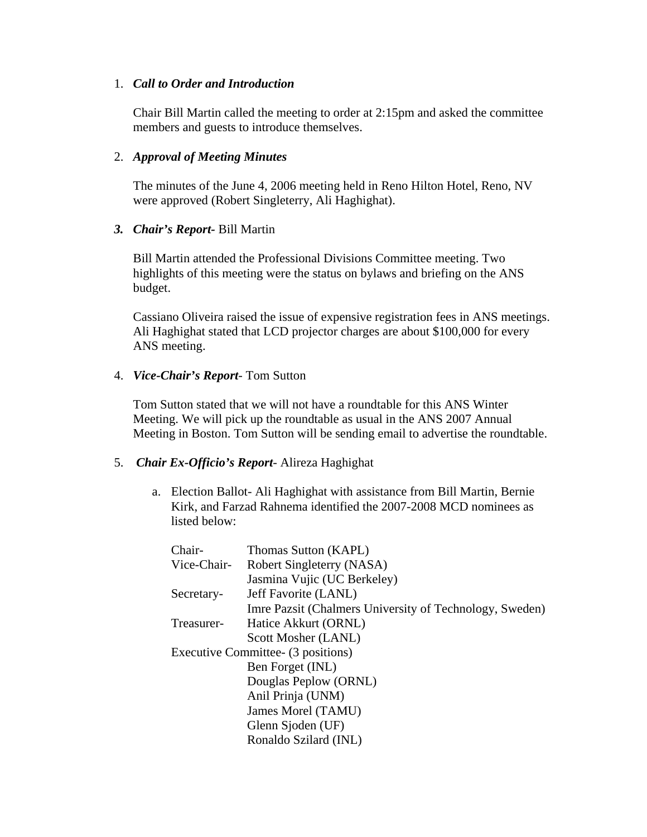### 1. *Call to Order and Introduction*

Chair Bill Martin called the meeting to order at 2:15pm and asked the committee members and guests to introduce themselves.

### 2. *Approval of Meeting Minutes*

The minutes of the June 4, 2006 meeting held in Reno Hilton Hotel, Reno, NV were approved (Robert Singleterry, Ali Haghighat).

### *3. Chair's Report-* Bill Martin

Bill Martin attended the Professional Divisions Committee meeting. Two highlights of this meeting were the status on bylaws and briefing on the ANS budget.

Cassiano Oliveira raised the issue of expensive registration fees in ANS meetings. Ali Haghighat stated that LCD projector charges are about \$100,000 for every ANS meeting.

#### 4. *Vice-Chair's Report*- Tom Sutton

Tom Sutton stated that we will not have a roundtable for this ANS Winter Meeting. We will pick up the roundtable as usual in the ANS 2007 Annual Meeting in Boston. Tom Sutton will be sending email to advertise the roundtable.

### 5. *Chair Ex-Officio's Report*- Alireza Haghighat

a. Election Ballot- Ali Haghighat with assistance from Bill Martin, Bernie Kirk, and Farzad Rahnema identified the 2007-2008 MCD nominees as listed below:

| Chair-      | Thomas Sutton (KAPL)                                    |
|-------------|---------------------------------------------------------|
| Vice-Chair- | Robert Singleterry (NASA)                               |
|             | Jasmina Vujic (UC Berkeley)                             |
| Secretary-  | Jeff Favorite (LANL)                                    |
|             | Imre Pazsit (Chalmers University of Technology, Sweden) |
| Treasurer-  | Hatice Akkurt (ORNL)                                    |
|             | Scott Mosher (LANL)                                     |
|             | Executive Committee- (3 positions)                      |
|             | Ben Forget (INL)                                        |
|             | Douglas Peplow (ORNL)                                   |
|             | Anil Prinja (UNM)                                       |
|             | James Morel (TAMU)                                      |
|             | Glenn Sjoden (UF)                                       |
|             | Ronaldo Szilard (INL)                                   |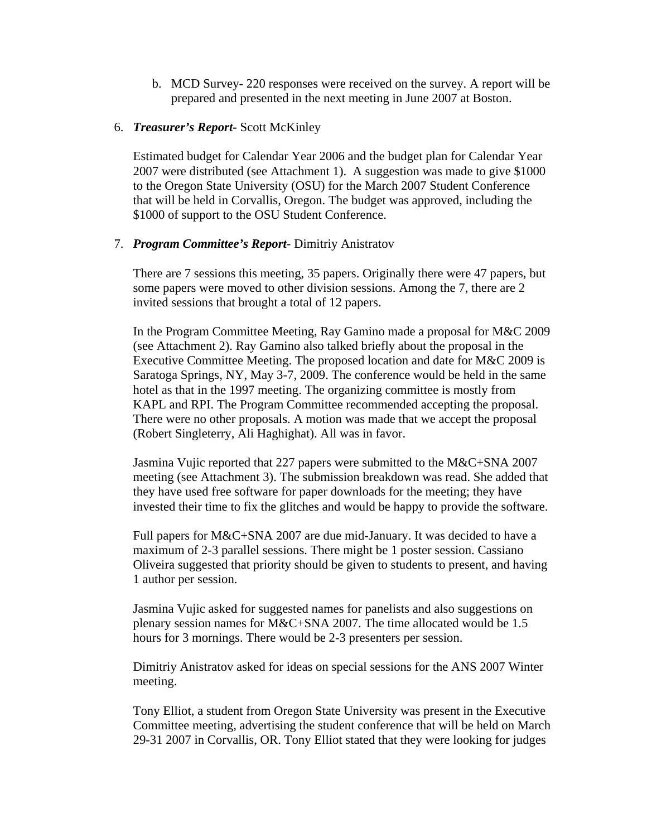b. MCD Survey- 220 responses were received on the survey. A report will be prepared and presented in the next meeting in June 2007 at Boston.

#### 6. *Treasurer's Report***-** Scott McKinley

Estimated budget for Calendar Year 2006 and the budget plan for Calendar Year 2007 were distributed (see Attachment 1). A suggestion was made to give \$1000 to the Oregon State University (OSU) for the March 2007 Student Conference that will be held in Corvallis, Oregon. The budget was approved, including the \$1000 of support to the OSU Student Conference.

#### 7. *Program Committee's Report*- Dimitriy Anistratov

There are 7 sessions this meeting, 35 papers. Originally there were 47 papers, but some papers were moved to other division sessions. Among the 7, there are 2 invited sessions that brought a total of 12 papers.

In the Program Committee Meeting, Ray Gamino made a proposal for M&C 2009 (see Attachment 2). Ray Gamino also talked briefly about the proposal in the Executive Committee Meeting. The proposed location and date for M&C 2009 is Saratoga Springs, NY, May 3-7, 2009. The conference would be held in the same hotel as that in the 1997 meeting. The organizing committee is mostly from KAPL and RPI. The Program Committee recommended accepting the proposal. There were no other proposals. A motion was made that we accept the proposal (Robert Singleterry, Ali Haghighat). All was in favor.

Jasmina Vujic reported that 227 papers were submitted to the M&C+SNA 2007 meeting (see Attachment 3). The submission breakdown was read. She added that they have used free software for paper downloads for the meeting; they have invested their time to fix the glitches and would be happy to provide the software.

Full papers for M&C+SNA 2007 are due mid-January. It was decided to have a maximum of 2-3 parallel sessions. There might be 1 poster session. Cassiano Oliveira suggested that priority should be given to students to present, and having 1 author per session.

Jasmina Vujic asked for suggested names for panelists and also suggestions on plenary session names for M&C+SNA 2007. The time allocated would be 1.5 hours for 3 mornings. There would be 2-3 presenters per session.

Dimitriy Anistratov asked for ideas on special sessions for the ANS 2007 Winter meeting.

Tony Elliot, a student from Oregon State University was present in the Executive Committee meeting, advertising the student conference that will be held on March 29-31 2007 in Corvallis, OR. Tony Elliot stated that they were looking for judges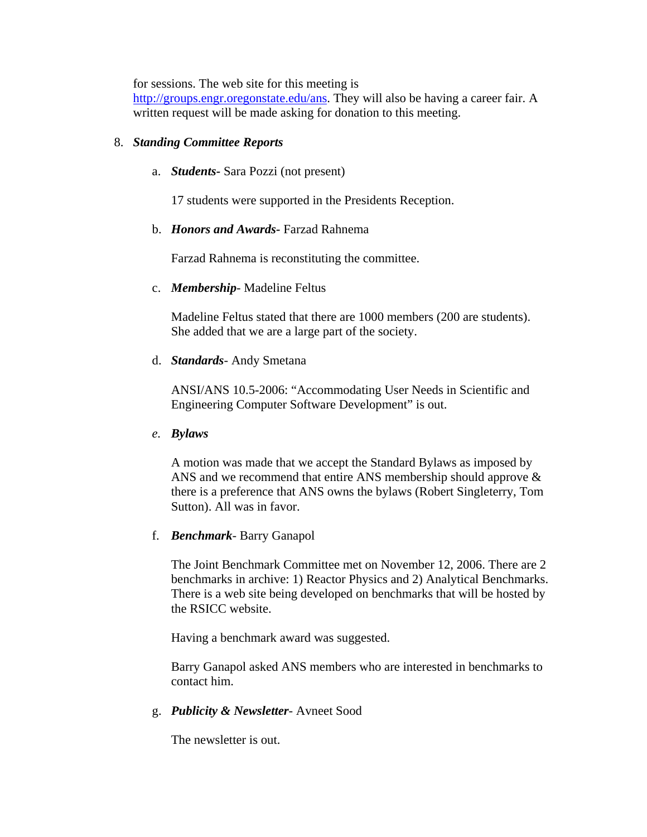for sessions. The web site for this meeting is

http://groups.engr.oregonstate.edu/ans. They will also be having a career fair. A written request will be made asking for donation to this meeting.

## 8. *Standing Committee Reports*

a. *Students-* Sara Pozzi (not present)

17 students were supported in the Presidents Reception.

## b. *Honors and Awards-* Farzad Rahnema

Farzad Rahnema is reconstituting the committee.

### c. *Membership*- Madeline Feltus

Madeline Feltus stated that there are 1000 members (200 are students). She added that we are a large part of the society.

## d. *Standards*- Andy Smetana

ANSI/ANS 10.5-2006: "Accommodating User Needs in Scientific and Engineering Computer Software Development" is out.

### *e. Bylaws*

A motion was made that we accept the Standard Bylaws as imposed by ANS and we recommend that entire ANS membership should approve & there is a preference that ANS owns the bylaws (Robert Singleterry, Tom Sutton). All was in favor.

## f. *Benchmark*- Barry Ganapol

The Joint Benchmark Committee met on November 12, 2006. There are 2 benchmarks in archive: 1) Reactor Physics and 2) Analytical Benchmarks. There is a web site being developed on benchmarks that will be hosted by the RSICC website.

Having a benchmark award was suggested.

Barry Ganapol asked ANS members who are interested in benchmarks to contact him.

### g. *Publicity & Newsletter*- Avneet Sood

The newsletter is out.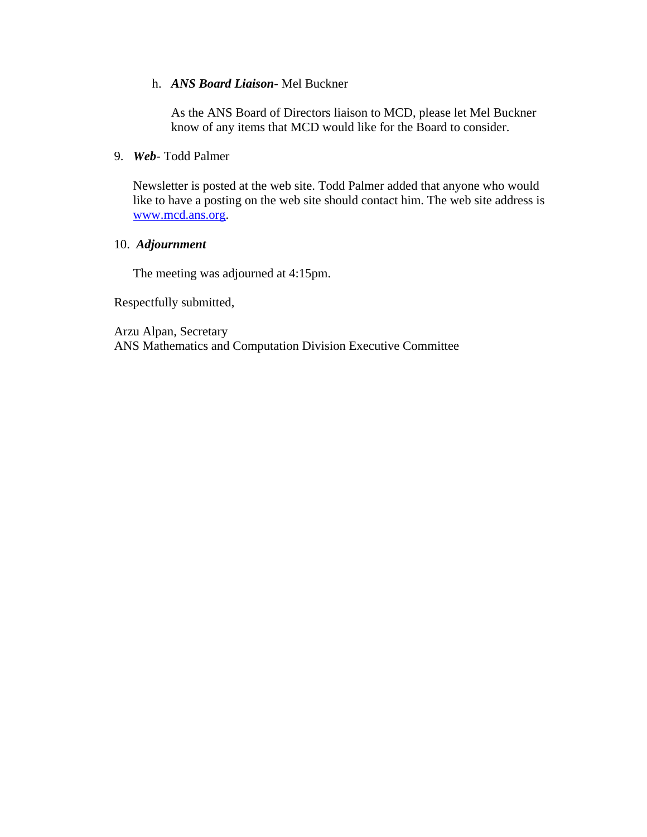#### h. *ANS Board Liaison*- Mel Buckner

As the ANS Board of Directors liaison to MCD, please let Mel Buckner know of any items that MCD would like for the Board to consider.

#### 9. *Web*- Todd Palmer

Newsletter is posted at the web site. Todd Palmer added that anyone who would like to have a posting on the web site should contact him. The web site address is www.mcd.ans.org.

#### 10. *Adjournment*

The meeting was adjourned at 4:15pm.

Respectfully submitted,

Arzu Alpan, Secretary ANS Mathematics and Computation Division Executive Committee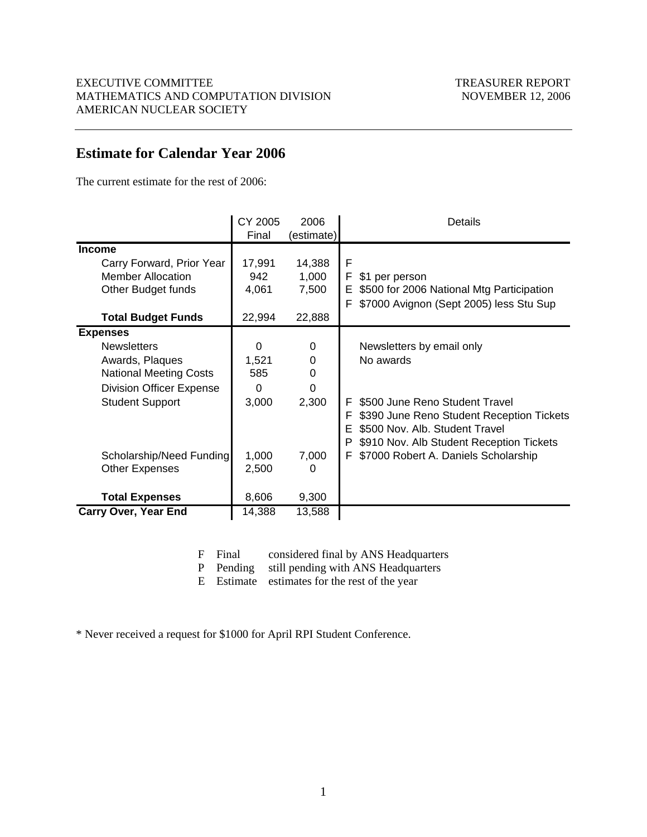## **Estimate for Calendar Year 2006**

The current estimate for the rest of 2006:

|                                                                                                                                                        | CY 2005<br>Final                       | 2006<br>(estimate)                      | Details                                                                                                                                                                |
|--------------------------------------------------------------------------------------------------------------------------------------------------------|----------------------------------------|-----------------------------------------|------------------------------------------------------------------------------------------------------------------------------------------------------------------------|
| <b>Income</b>                                                                                                                                          |                                        |                                         |                                                                                                                                                                        |
| Carry Forward, Prior Year<br><b>Member Allocation</b><br>Other Budget funds                                                                            | 17,991<br>942<br>4,061                 | 14,388<br>1,000<br>7,500                | F<br>F<br>\$1 per person<br>\$500 for 2006 National Mtg Participation<br>Е<br>\$7000 Avignon (Sept 2005) less Stu Sup<br>F                                             |
| <b>Total Budget Funds</b>                                                                                                                              | 22,994                                 | 22,888                                  |                                                                                                                                                                        |
| <b>Expenses</b><br><b>Newsletters</b><br>Awards, Plaques<br><b>National Meeting Costs</b><br><b>Division Officer Expense</b><br><b>Student Support</b> | $\Omega$<br>1,521<br>585<br>0<br>3,000 | $\Omega$<br>0<br>0<br>$\Omega$<br>2,300 | Newsletters by email only<br>No awards<br>\$500 June Reno Student Travel<br>F<br>\$390 June Reno Student Reception Tickets<br>F<br>\$500 Nov. Alb. Student Travel<br>Е |
| Scholarship/Need Funding<br><b>Other Expenses</b><br><b>Total Expenses</b>                                                                             | 1,000<br>2,500<br>8,606                | 7,000<br>0<br>9,300                     | \$910 Nov. Alb Student Reception Tickets<br>P<br>\$7000 Robert A. Daniels Scholarship<br>F                                                                             |
| <b>Carry Over, Year End</b>                                                                                                                            | 14,388                                 | 13,588                                  |                                                                                                                                                                        |

|  | F Final |  |  |  | considered final by ANS Headquarters |
|--|---------|--|--|--|--------------------------------------|
|--|---------|--|--|--|--------------------------------------|

P Pending still pending with ANS Headquarters

E Estimate estimates for the rest of the year

\* Never received a request for \$1000 for April RPI Student Conference.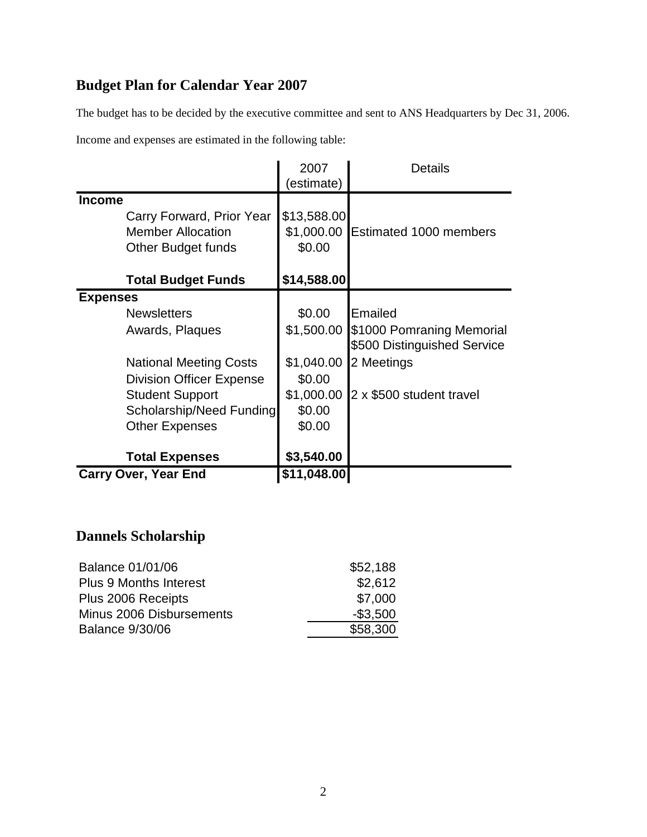## **Budget Plan for Calendar Year 2007**

The budget has to be decided by the executive committee and sent to ANS Headquarters by Dec 31, 2006.

Income and expenses are estimated in the following table:

|                                                                                                                                                                                                             | 2007<br>estimate)                                                              | <b>Details</b>                                                                                                |
|-------------------------------------------------------------------------------------------------------------------------------------------------------------------------------------------------------------|--------------------------------------------------------------------------------|---------------------------------------------------------------------------------------------------------------|
| <b>Income</b><br>Carry Forward, Prior Year<br><b>Member Allocation</b><br>Other Budget funds                                                                                                                | \$13,588.00<br>\$1,000.00<br>\$0.00                                            | Estimated 1000 members                                                                                        |
| <b>Total Budget Funds</b>                                                                                                                                                                                   | \$14,588.00                                                                    |                                                                                                               |
| <b>Expenses</b><br><b>Newsletters</b><br>Awards, Plaques<br><b>National Meeting Costs</b><br><b>Division Officer Expense</b><br><b>Student Support</b><br>Scholarship/Need Funding<br><b>Other Expenses</b> | \$0.00<br>\$1,500.00<br>\$1,040.00<br>\$0.00<br>\$1,000.00<br>\$0.00<br>\$0.00 | Emailed<br>\$1000 Pomraning Memorial<br>\$500 Distinguished Service<br>2 Meetings<br>2 x \$500 student travel |
| <b>Total Expenses</b>                                                                                                                                                                                       | \$3,540.00                                                                     |                                                                                                               |
| <b>Carry Over, Year End</b>                                                                                                                                                                                 | \$11,048.00                                                                    |                                                                                                               |

## **Dannels Scholarship**

| Balance 01/01/06              | \$52,188    |
|-------------------------------|-------------|
| <b>Plus 9 Months Interest</b> | \$2,612     |
| Plus 2006 Receipts            | \$7,000     |
| Minus 2006 Disbursements      | $-$ \$3,500 |
| <b>Balance 9/30/06</b>        | \$58,300    |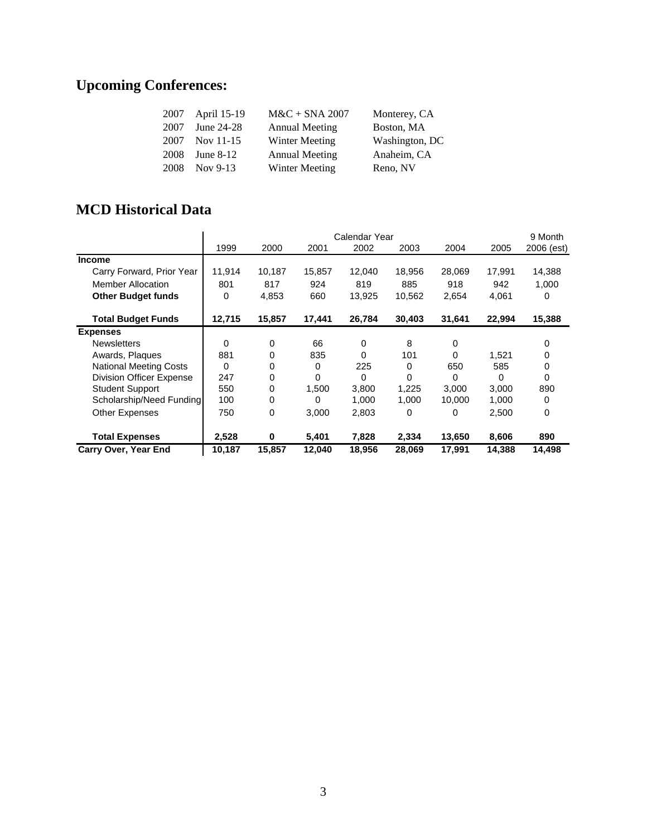## **Upcoming Conferences:**

| 2007 | April 15-19 | $M&C + SNA 2007$      | Monterey, CA   |
|------|-------------|-----------------------|----------------|
| 2007 | June 24-28  | <b>Annual Meeting</b> | Boston, MA     |
| 2007 | Nov 11-15   | Winter Meeting        | Washington, DC |
| 2008 | June $8-12$ | <b>Annual Meeting</b> | Anaheim, CA    |
| 2008 | Nov 9-13    | <b>Winter Meeting</b> | Reno, NV       |

## **MCD Historical Data**

|                                 | Calendar Year |          |        |          |        |          | 9 Month |            |
|---------------------------------|---------------|----------|--------|----------|--------|----------|---------|------------|
|                                 | 1999          | 2000     | 2001   | 2002     | 2003   | 2004     | 2005    | 2006 (est) |
| Income                          |               |          |        |          |        |          |         |            |
| Carry Forward, Prior Year       | 11,914        | 10,187   | 15,857 | 12,040   | 18,956 | 28,069   | 17,991  | 14,388     |
| <b>Member Allocation</b>        | 801           | 817      | 924    | 819      | 885    | 918      | 942     | 1,000      |
| <b>Other Budget funds</b>       | 0             | 4,853    | 660    | 13,925   | 10,562 | 2,654    | 4,061   | 0          |
| <b>Total Budget Funds</b>       | 12,715        | 15,857   | 17,441 | 26,784   | 30,403 | 31,641   | 22,994  | 15,388     |
| <b>Expenses</b>                 |               |          |        |          |        |          |         |            |
| <b>Newsletters</b>              | 0             | 0        | 66     | 0        | 8      | 0        |         | 0          |
| Awards, Plaques                 | 881           | 0        | 835    | 0        | 101    | 0        | 1,521   | 0          |
| <b>National Meeting Costs</b>   | 0             | 0        | 0      | 225      | 0      | 650      | 585     | 0          |
| <b>Division Officer Expense</b> | 247           | 0        | 0      | $\Omega$ | 0      | $\Omega$ | 0       | 0          |
| <b>Student Support</b>          | 550           | 0        | 1,500  | 3,800    | 1.225  | 3.000    | 3.000   | 890        |
| Scholarship/Need Funding        | 100           | 0        | 0      | 1,000    | 1,000  | 10,000   | 1,000   | 0          |
| Other Expenses                  | 750           | 0        | 3,000  | 2,803    | 0      | 0        | 2,500   | 0          |
| <b>Total Expenses</b>           | 2,528         | $\bf{0}$ | 5,401  | 7,828    | 2,334  | 13,650   | 8,606   | 890        |
| <b>Carry Over, Year End</b>     | 10,187        | 15,857   | 12,040 | 18,956   | 28,069 | 17,991   | 14,388  | 14,498     |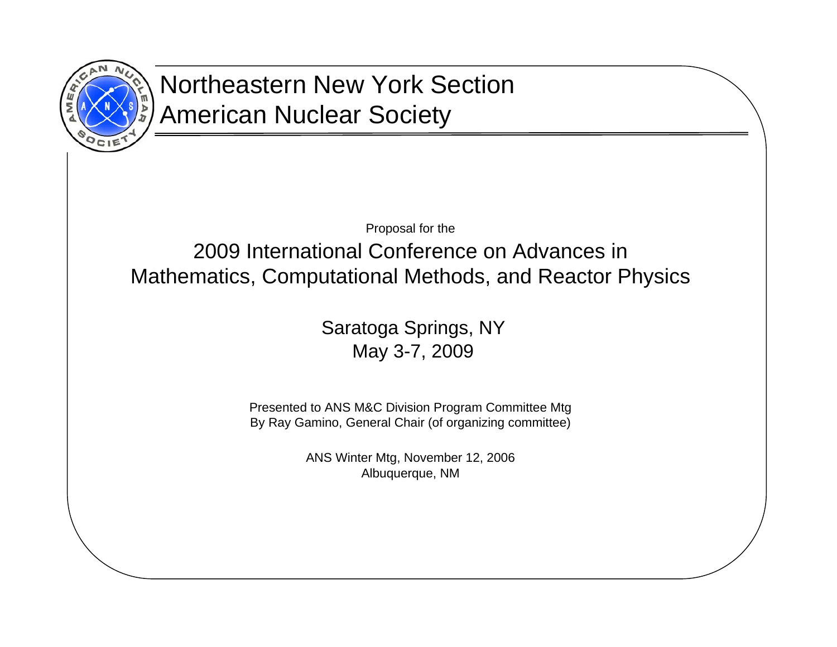

## Northeastern New York SectionAmerican Nuclear Society

Proposal for the

2009 International Conference on Advances in Mathematics, Computational Methods, and Reactor Physics

> Saratoga Springs, NY May 3-7, 2009

Presented to ANS M&C Division Program Committee Mtg By Ray Gamino, General Chair (of organizing committee)

> ANS Winter Mtg, November 12, 2006 Albuquerque, NM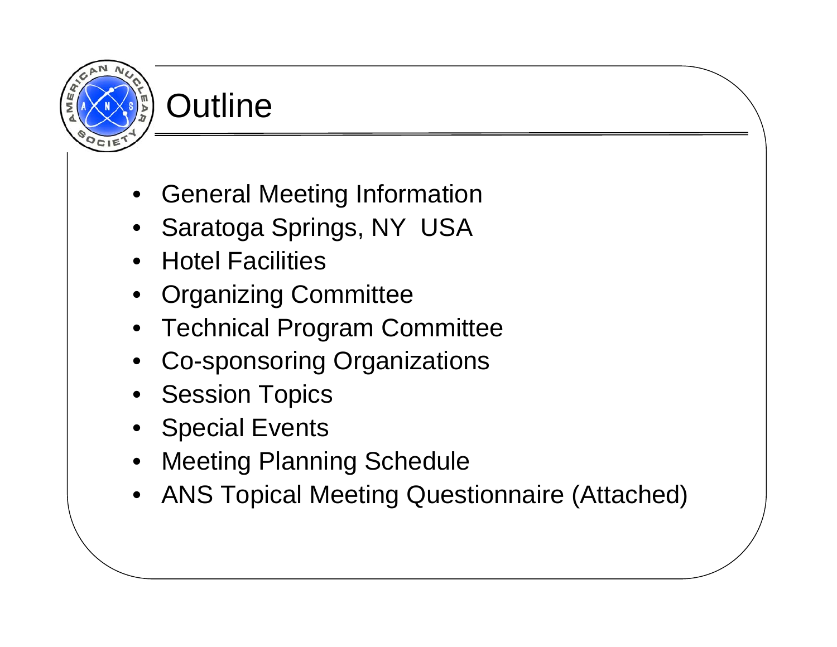# **Outline**

- General Meeting Information
- Saratoga Springs, NY USA
- Hotel Facilities
- Organizing Committee
- Technical Program Committee
- •Co-sponsoring Organizations
- Session Topics
- Special Events
- Meeting Planning Schedule
- •ANS Topical Meeting Questionnaire (Attached)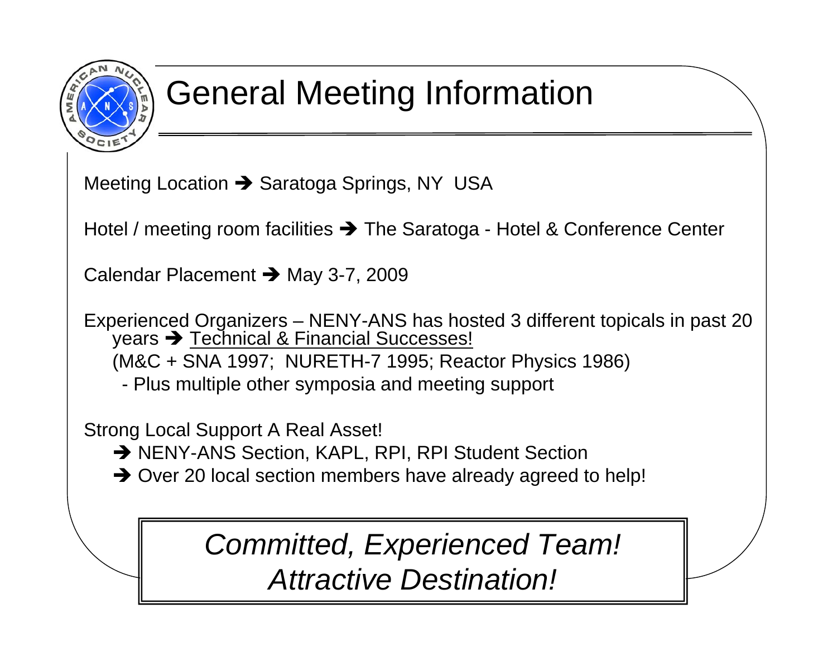

## General Meeting Information

Meeting Location Î Saratoga Springs, NY USA

Hotel / meeting room facilities Î The Saratoga - Hotel & Conference Center

Calendar Placement Î May 3-7, 2009

Experienced Organizers – NENY-ANS has hosted 3 different topicals in past 20 years Î Technical & Financial Successes! (M&C + SNA 1997; NURETH-7 1995; Reactor Physics 1986) - Plus multiple other symposia and meeting support

Strong Local Support A Real Asset!

- → NENY-ANS Section, KAPL, RPI, RPI Student Section
- $\rightarrow$  Over 20 local section members have already agreed to help!

*Committed, Experienced Team! Attractive Destination!*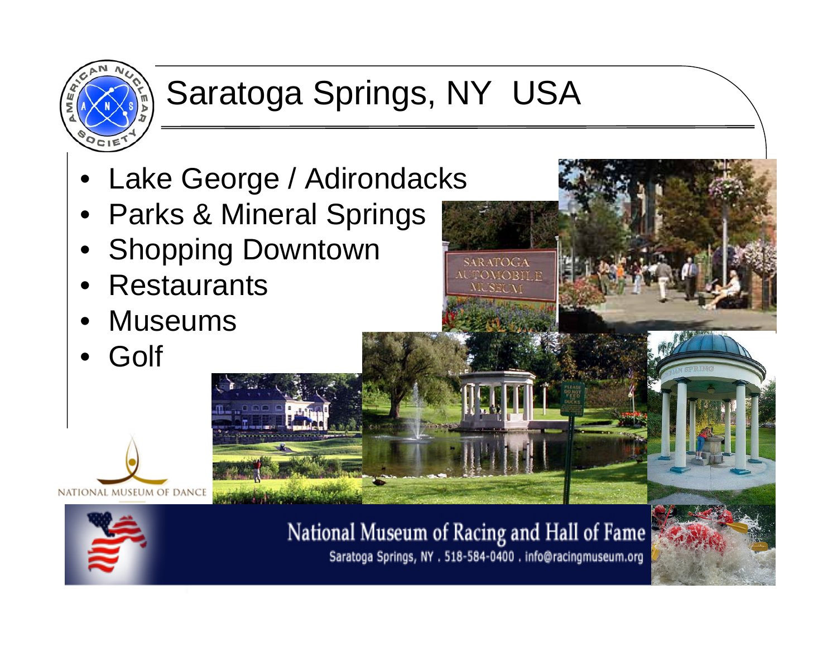

# Saratoga Springs, NY USA

**SARATOGA NUTOMOBILE IL SEI AT** 

- •Lake George / Adirondacks
- •Parks & Mineral Springs
- •Shopping Downtown
- •**Restaurants**
- •Museums
- •Golf





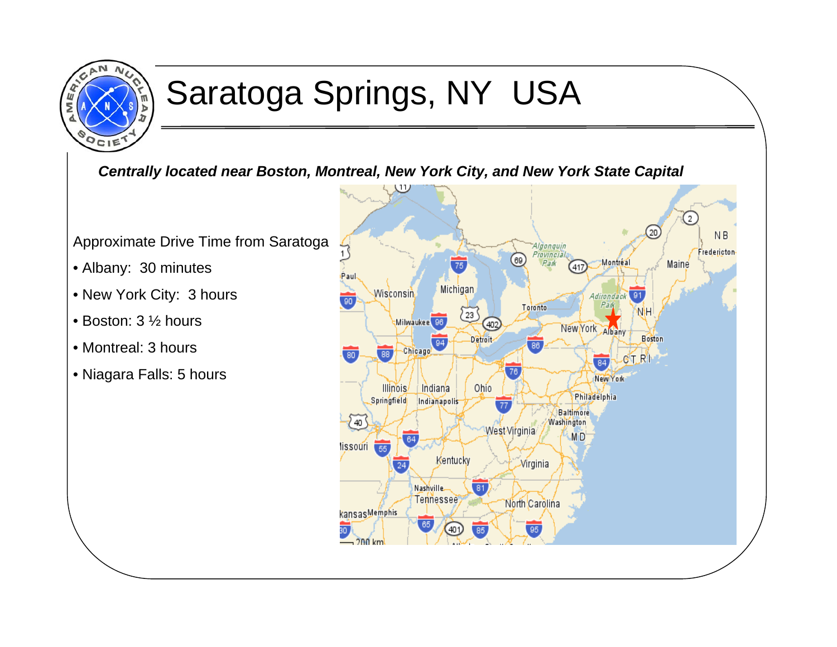

## Saratoga Springs, NY USA

*Centrally located near Boston, Montreal, New York City, and New York State Capital*

Approximate Drive Time from Saratoga

- Albany: 30 minutes
- New York City: 3 hours
- Boston: 3 ½ hours
- Montreal: 3 hours
- Niagara Falls: 5 hours

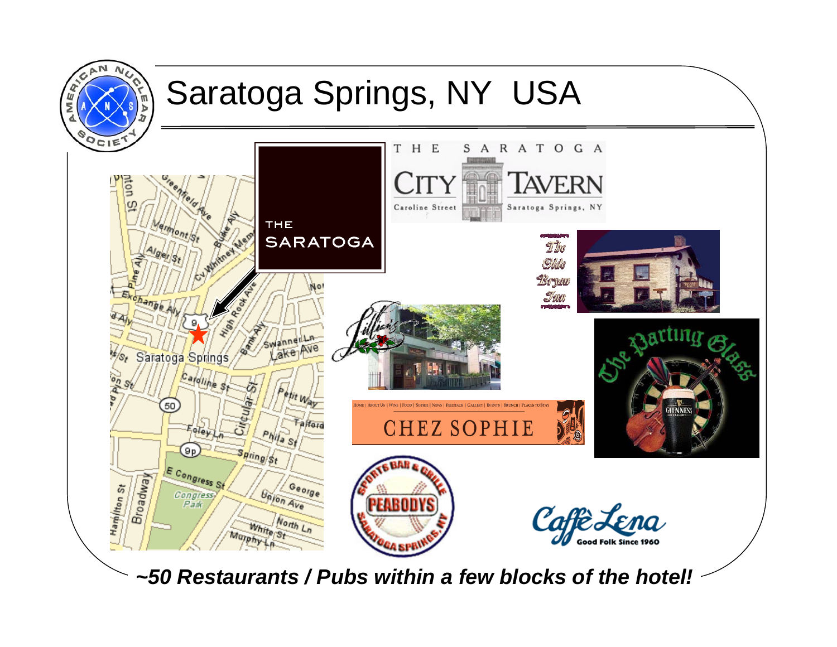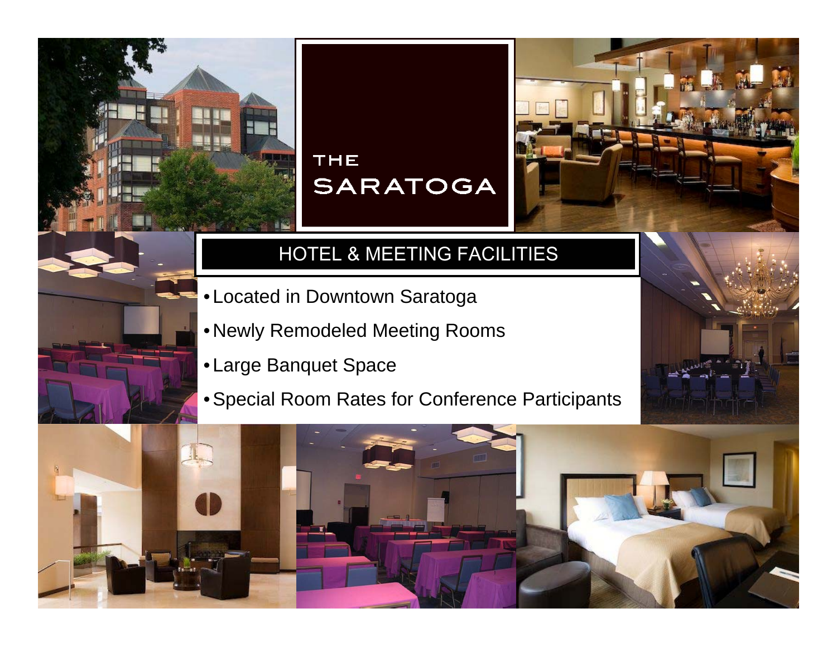## THE **SARATOGA**

## HOTEL & MEETING FACILITIES

- Located in Downtown Saratoga
- Newly Remodeled Meeting Rooms
- Large Banquet Space
- Special Room Rates for Conference Participants

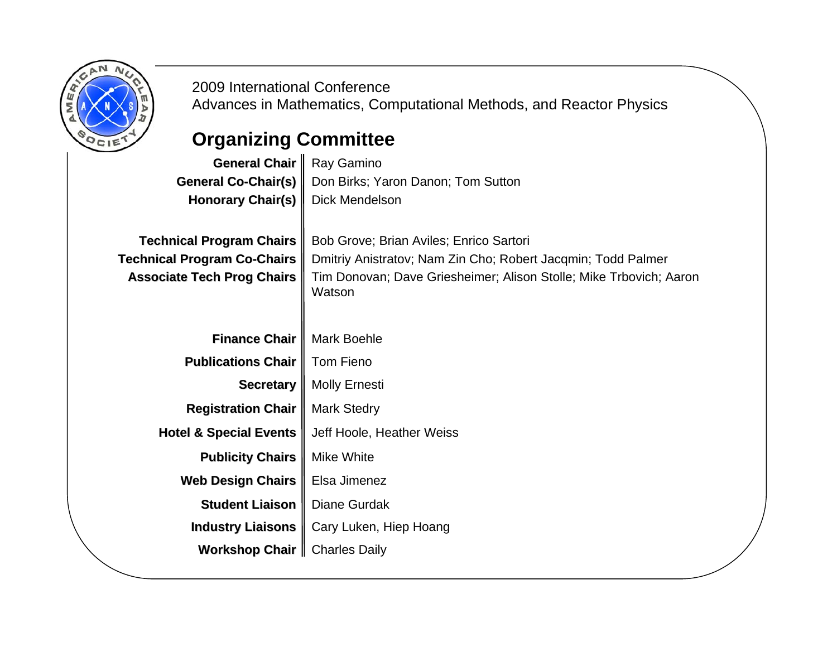

2009 International ConferenceAdvances in Mathematics, Computational Methods, and Reactor Physics

## **Organizing Committee**

| General Chair                                                                                              | Ray Gamino                                                                                                                                                                              |
|------------------------------------------------------------------------------------------------------------|-----------------------------------------------------------------------------------------------------------------------------------------------------------------------------------------|
| <b>General Co-Chair(s)</b>                                                                                 | Don Birks; Yaron Danon; Tom Sutton                                                                                                                                                      |
| <b>Honorary Chair(s)</b>                                                                                   | <b>Dick Mendelson</b>                                                                                                                                                                   |
| <b>Technical Program Chairs</b><br><b>Technical Program Co-Chairs</b><br><b>Associate Tech Prog Chairs</b> | Bob Grove; Brian Aviles; Enrico Sartori<br>Dmitriy Anistratov; Nam Zin Cho; Robert Jacqmin; Todd Palmer<br>Tim Donovan; Dave Griesheimer; Alison Stolle; Mike Trbovich; Aaron<br>Watson |
| <b>Finance Chair</b>                                                                                       | <b>Mark Boehle</b>                                                                                                                                                                      |
| <b>Publications Chair</b>                                                                                  | Tom Fieno                                                                                                                                                                               |
| <b>Secretary</b>                                                                                           | <b>Molly Ernesti</b>                                                                                                                                                                    |
| <b>Registration Chair</b>                                                                                  | <b>Mark Stedry</b>                                                                                                                                                                      |
| <b>Hotel &amp; Special Events</b>                                                                          | Jeff Hoole, Heather Weiss                                                                                                                                                               |
| <b>Publicity Chairs</b>                                                                                    | <b>Mike White</b>                                                                                                                                                                       |
| <b>Web Design Chairs</b>                                                                                   | Elsa Jimenez                                                                                                                                                                            |
| <b>Student Liaison</b>                                                                                     | <b>Diane Gurdak</b>                                                                                                                                                                     |
| <b>Industry Liaisons</b>                                                                                   | Cary Luken, Hiep Hoang                                                                                                                                                                  |
| <b>Workshop Chair</b>                                                                                      | <b>Charles Daily</b>                                                                                                                                                                    |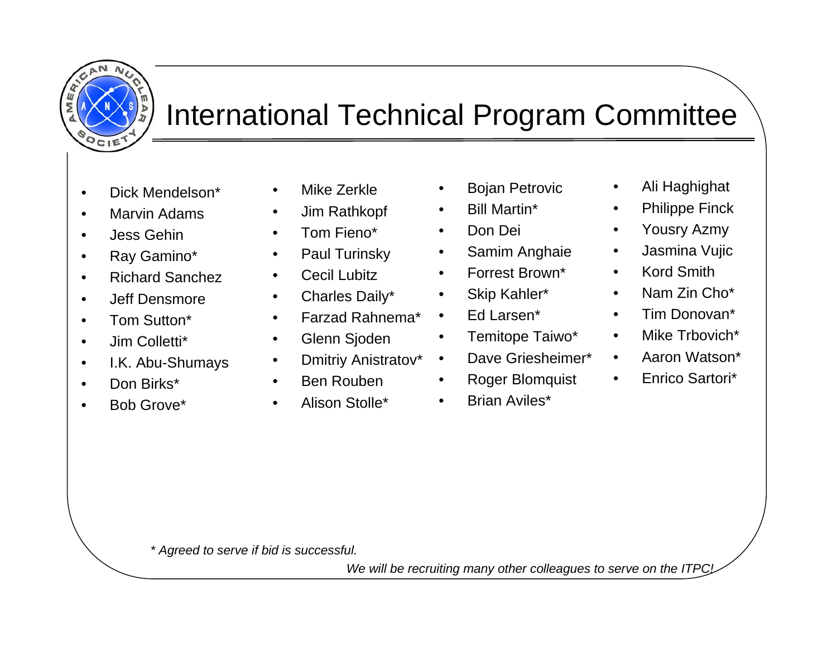

## International Technical Program Committee

- •Dick Mendelson\*
- •Marvin Adams
- •Jess Gehin
- •Ray Gamino\*
- •Richard Sanchez
- $\bullet$ Jeff Densmore
- •Tom Sutton\*
- •Jim Colletti\*
- •I.K. Abu-Shumays
- •Don Birks\*
- •Bob Grove\*
- •Mike Zerkle
- •Jim Rathkopf
- •Tom Fieno\*
- •Paul Turinsky
- •Cecil Lubitz
- •Charles Daily\*
- •Farzad Rahnema\*
- •Glenn Sjoden
- $\bullet$ Dmitriy Anistratov\*
- •Ben Rouben
- •Alison Stolle\*
- $\bullet$ Bojan Petrovic
- •Bill Martin\*
- •Don Dei
- $\bullet$ Samim Anghaie
- $\bullet$ Forrest Brown\*
- $\bullet$ Skip Kahler\*
- $\bullet$ Ed Larsen\*
- $\bullet$ Temitope Taiwo\*
- •Dave Griesheimer\*
- •Roger Blomquist
- $\bullet$ Brian Aviles\*
- $\bullet$ Ali Haghighat
- $\bullet$ Philippe Finck
- $\bullet$ Yousry Azmy
- $\bullet$ Jasmina Vujic
- $\bullet$ Kord Smith
- $\bullet$ Nam Zin Cho\*
- •Tim Donovan\*
- $\bullet$ Mike Trbovich\*
- $\bullet$ Aaron Watson\*
- $\bullet$ Enrico Sartori\*

*\* Agreed to serve if bid is successful.* 

We will be recruiting many other colleagues to serve on the ITPC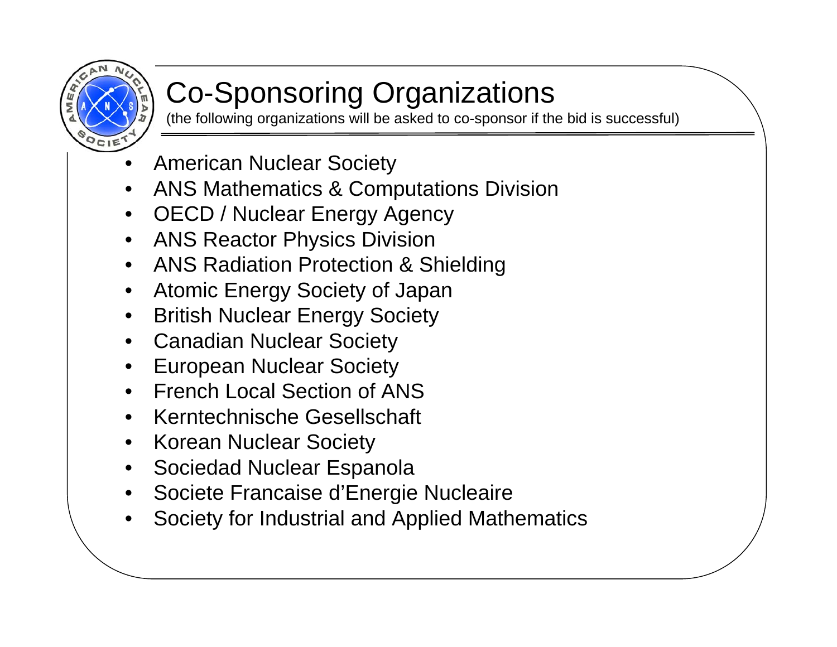

## Co-Sponsoring Organizations

(the following organizations will be asked to co-sponsor if the bid is successful)

- •American Nuclear Society
- •ANS Mathematics & Computations Division
- OECD / Nuclear Energy Agency
- ANS Reactor Physics Division
- ANS Radiation Protection & Shielding
- Atomic Energy Society of Japan
- •British Nuclear Energy Society
- Canadian Nuclear Society
- •European Nuclear Society
- French Local Section of ANS
- •Kerntechnische Gesellschaft
- Korean Nuclear Society
- •Sociedad Nuclear Espanola
- •Societe Francaise d'Energie Nucleaire
- •Society for Industrial and Applied Mathematics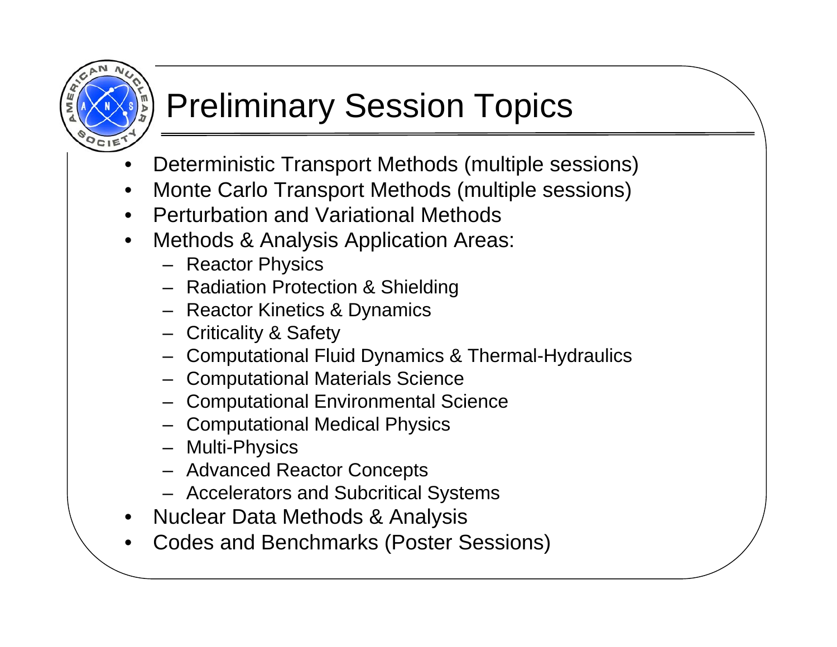# Preliminary Session Topics

- •Deterministic Transport Methods (multiple sessions)
- •Monte Carlo Transport Methods (multiple sessions)
- •Perturbation and Variational Methods
- $\bullet$  Methods & Analysis Application Areas:
	- Reactor Physics
	- Radiation Protection & Shielding
	- Reactor Kinetics & Dynamics
	- Criticality & Safety
	- Computational Fluid Dynamics & Thermal-Hydraulics
	- Computational Materials Science
	- Computational Environmental Science
	- Computational Medical Physics
	- Multi-Physics
	- Advanced Reactor Concepts
	- Accelerators and Subcritical Systems
- •Nuclear Data Methods & Analysis
- •Codes and Benchmarks (Poster Sessions)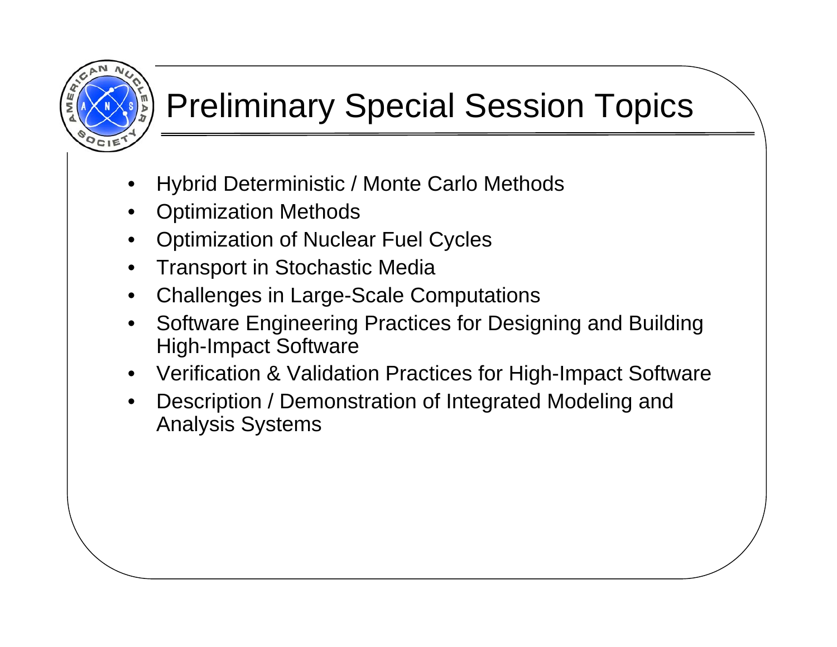## Preliminary Special Session Topics

- •Hybrid Deterministic / Monte Carlo Methods
- •Optimization Methods
- •Optimization of Nuclear Fuel Cycles
- •Transport in Stochastic Media
- •Challenges in Large-Scale Computations
- • Software Engineering Practices for Designing and Building High-Impact Software
- •Verification & Validation Practices for High-Impact Software
- • Description / Demonstration of Integrated Modeling and Analysis Systems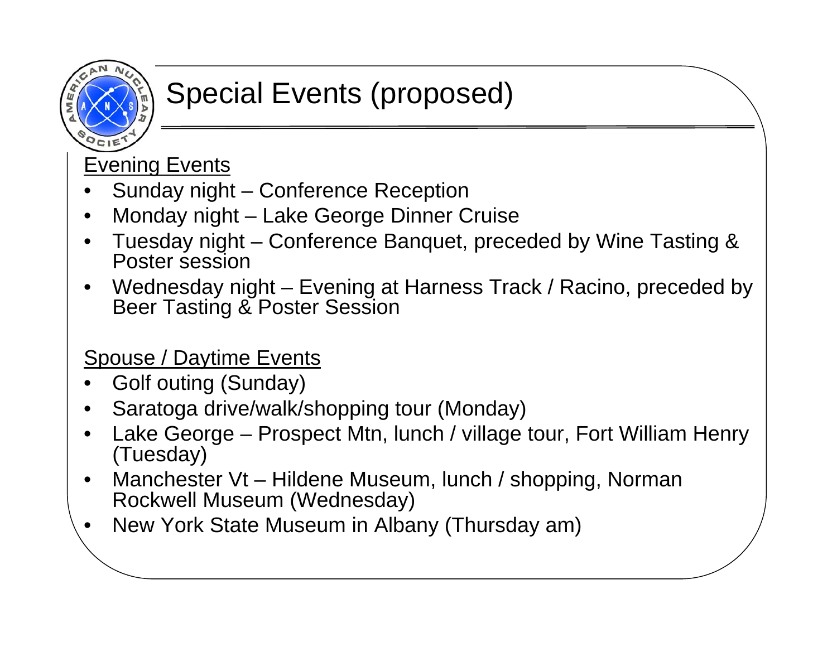## Special Events (proposed)

**Evening Events** 

- •Sunday night – Conference Reception
- •Monday night – Lake George Dinner Cruise
- $\bullet$  Tuesday night – Conference Banquet, preceded by Wine Tasting & Poster session
- • Wednesday night – Evening at Harness Track / Racino, preceded by Beer Tasting & Poster Session

## Spouse / Daytime Events

- •Golf outing (Sunday)
- •Saratoga drive/walk/shopping tour (Monday)
- • Lake George – Prospect Mtn, lunch / village tour, Fort William Henry (Tuesday)
- $\bullet$  Manchester Vt – Hildene Museum, lunch / shopping, Norman Rockwell Museum (Wednesday)
- •New York State Museum in Albany (Thursday am)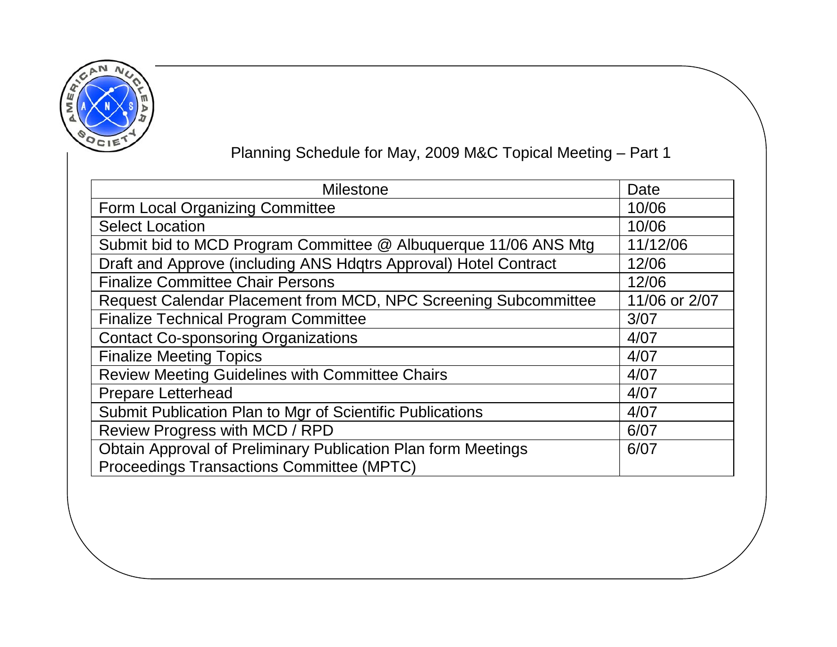

## Planning Schedule for May, 2009 M&C Topical Meeting – Part 1

| <b>Milestone</b>                                                 | Date          |
|------------------------------------------------------------------|---------------|
| Form Local Organizing Committee                                  | 10/06         |
| <b>Select Location</b>                                           | 10/06         |
| Submit bid to MCD Program Committee @ Albuquerque 11/06 ANS Mtg  | 11/12/06      |
| Draft and Approve (including ANS Hdqtrs Approval) Hotel Contract | 12/06         |
| <b>Finalize Committee Chair Persons</b>                          | 12/06         |
| Request Calendar Placement from MCD, NPC Screening Subcommittee  | 11/06 or 2/07 |
| <b>Finalize Technical Program Committee</b>                      | 3/07          |
| <b>Contact Co-sponsoring Organizations</b>                       | 4/07          |
| <b>Finalize Meeting Topics</b>                                   | 4/07          |
| <b>Review Meeting Guidelines with Committee Chairs</b>           | 4/07          |
| <b>Prepare Letterhead</b>                                        | 4/07          |
| Submit Publication Plan to Mgr of Scientific Publications        | 4/07          |
| Review Progress with MCD / RPD                                   | 6/07          |
| Obtain Approval of Preliminary Publication Plan form Meetings    | 6/07          |
| <b>Proceedings Transactions Committee (MPTC)</b>                 |               |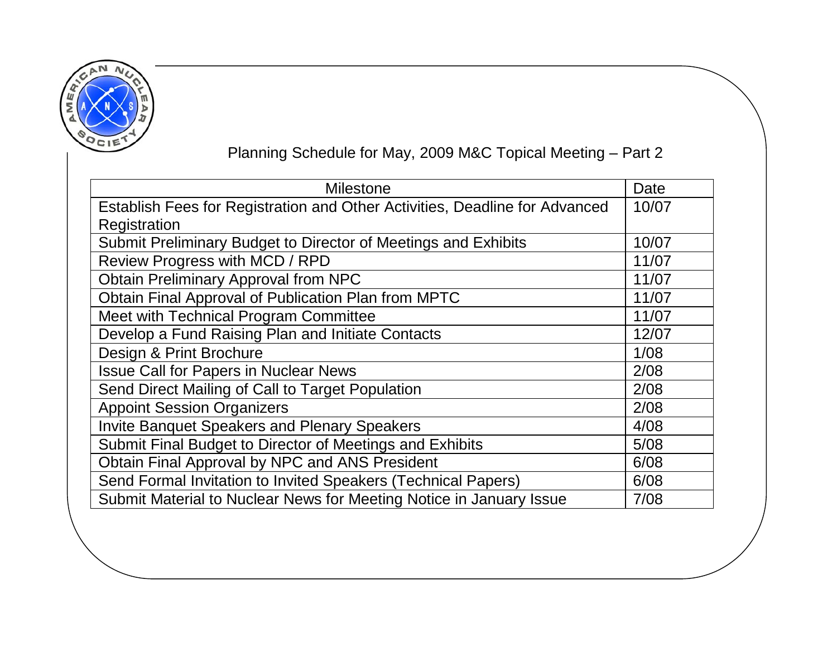

## Planning Schedule for May, 2009 M&C Topical Meeting – Part 2

| <b>Milestone</b>                                                            | Date  |
|-----------------------------------------------------------------------------|-------|
| Establish Fees for Registration and Other Activities, Deadline for Advanced | 10/07 |
| Registration                                                                |       |
| Submit Preliminary Budget to Director of Meetings and Exhibits              | 10/07 |
| Review Progress with MCD / RPD                                              | 11/07 |
| <b>Obtain Preliminary Approval from NPC</b>                                 | 11/07 |
| Obtain Final Approval of Publication Plan from MPTC                         | 11/07 |
| Meet with Technical Program Committee                                       | 11/07 |
| Develop a Fund Raising Plan and Initiate Contacts                           | 12/07 |
| Design & Print Brochure                                                     | 1/08  |
| <b>Issue Call for Papers in Nuclear News</b>                                | 2/08  |
| Send Direct Mailing of Call to Target Population                            | 2/08  |
| <b>Appoint Session Organizers</b>                                           | 2/08  |
| <b>Invite Banquet Speakers and Plenary Speakers</b>                         | 4/08  |
| Submit Final Budget to Director of Meetings and Exhibits                    | 5/08  |
| Obtain Final Approval by NPC and ANS President                              | 6/08  |
| Send Formal Invitation to Invited Speakers (Technical Papers)               | 6/08  |
| Submit Material to Nuclear News for Meeting Notice in January Issue         | 7/08  |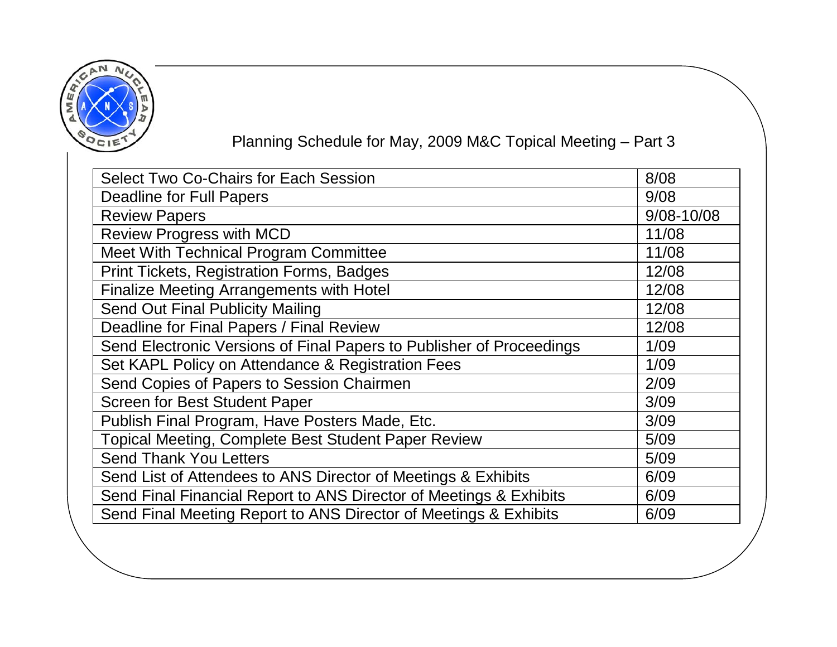

## Planning Schedule for May, 2009 M&C Topical Meeting – Part 3

| <b>Select Two Co-Chairs for Each Session</b>                         | 8/08           |
|----------------------------------------------------------------------|----------------|
| <b>Deadline for Full Papers</b>                                      | 9/08           |
| <b>Review Papers</b>                                                 | $9/08 - 10/08$ |
| <b>Review Progress with MCD</b>                                      | 11/08          |
| Meet With Technical Program Committee                                | 11/08          |
| <b>Print Tickets, Registration Forms, Badges</b>                     | 12/08          |
| <b>Finalize Meeting Arrangements with Hotel</b>                      | 12/08          |
| <b>Send Out Final Publicity Mailing</b>                              | 12/08          |
| Deadline for Final Papers / Final Review                             | 12/08          |
| Send Electronic Versions of Final Papers to Publisher of Proceedings | 1/09           |
| Set KAPL Policy on Attendance & Registration Fees                    | 1/09           |
| Send Copies of Papers to Session Chairmen                            | 2/09           |
| <b>Screen for Best Student Paper</b>                                 | 3/09           |
| Publish Final Program, Have Posters Made, Etc.                       | 3/09           |
| <b>Topical Meeting, Complete Best Student Paper Review</b>           | 5/09           |
| <b>Send Thank You Letters</b>                                        | 5/09           |
| Send List of Attendees to ANS Director of Meetings & Exhibits        | 6/09           |
| Send Final Financial Report to ANS Director of Meetings & Exhibits   | 6/09           |
| Send Final Meeting Report to ANS Director of Meetings & Exhibits     | 6/09           |